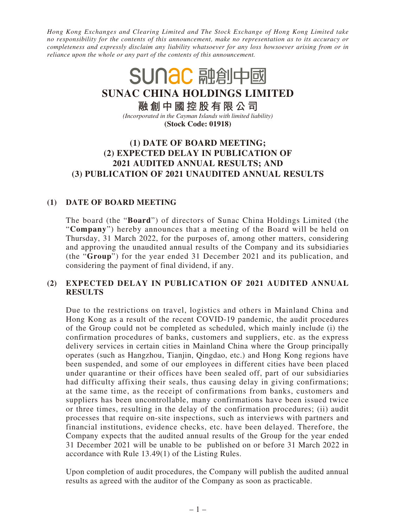*Hong Kong Exchanges and Clearing Limited and The Stock Exchange of Hong Kong Limited take no responsibility for the contents of this announcement, make no representation as to its accuracy or completeness and expressly disclaim any liability whatsoever for any loss howsoever arising from or in reliance upon the whole or any part of the contents of this announcement.*

# SUNAC 融創中國 **SUNAC CHINA HOLDINGS LIMITED 融創中國控股有限公司** *(Incorporated in the Cayman Islands with limited liability)* **(Stock Code: 01918) (1) DATE OF BOARD MEETING; (2) EXPECTED DELAY IN PUBLICATION OF**

## **2021 AUDITED ANNUAL RESULTS; AND (3) PUBLICATION OF 2021 UNAUDITED ANNUAL RESULTS**

# **(1) DATE OF BOARD MEETING**

The board (the "**Board**") of directors of Sunac China Holdings Limited (the "**Company**") hereby announces that a meeting of the Board will be held on Thursday, 31 March 2022, for the purposes of, among other matters, considering and approving the unaudited annual results of the Company and its subsidiaries (the "**Group**") for the year ended 31 December 2021 and its publication, and considering the payment of final dividend, if any.

## **(2) EXPECTED DELAY IN PUBLICATION OF 2021 AUDITED ANNUAL RESULTS**

Due to the restrictions on travel, logistics and others in Mainland China and Hong Kong as a result of the recent COVID-19 pandemic, the audit procedures of the Group could not be completed as scheduled, which mainly include (i) the confirmation procedures of banks, customers and suppliers, etc. as the express delivery services in certain cities in Mainland China where the Group principally operates (such as Hangzhou, Tianjin, Qingdao, etc.) and Hong Kong regions have been suspended, and some of our employees in different cities have been placed under quarantine or their offices have been sealed off, part of our subsidiaries had difficulty affixing their seals, thus causing delay in giving confirmations; at the same time, as the receipt of confirmations from banks, customers and suppliers has been uncontrollable, many confirmations have been issued twice or three times, resulting in the delay of the confirmation procedures; (ii) audit processes that require on-site inspections, such as interviews with partners and financial institutions, evidence checks, etc. have been delayed. Therefore, the Company expects that the audited annual results of the Group for the year ended 31 December 2021 will be unable to be published on or before 31 March 2022 in accordance with Rule 13.49(1) of the Listing Rules.

Upon completion of audit procedures, the Company will publish the audited annual results as agreed with the auditor of the Company as soon as practicable.